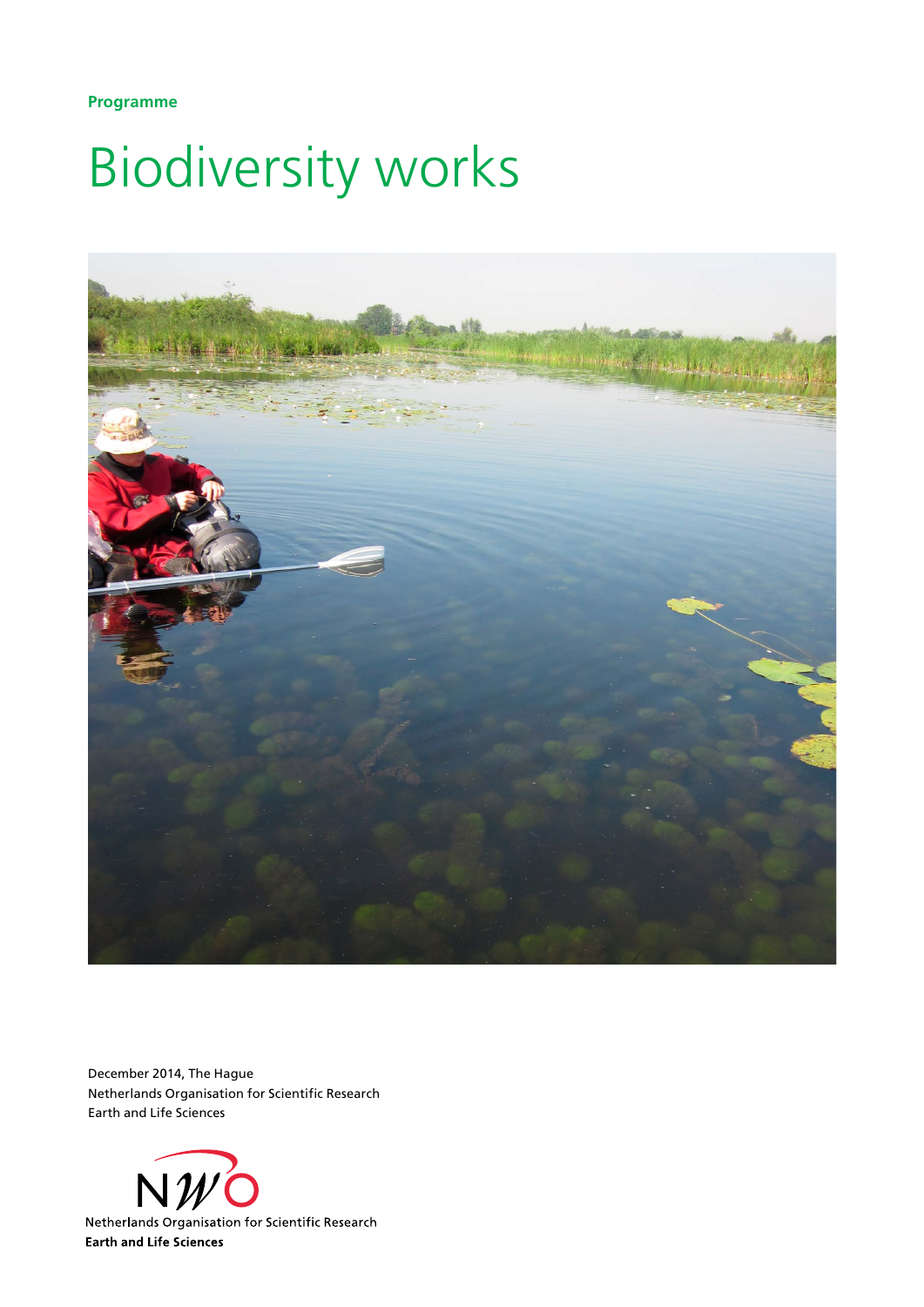**Programme**

## Biodiversity works



December 2014, The Hague Netherlands Organisation for Scientific Research Earth and Life Sciences

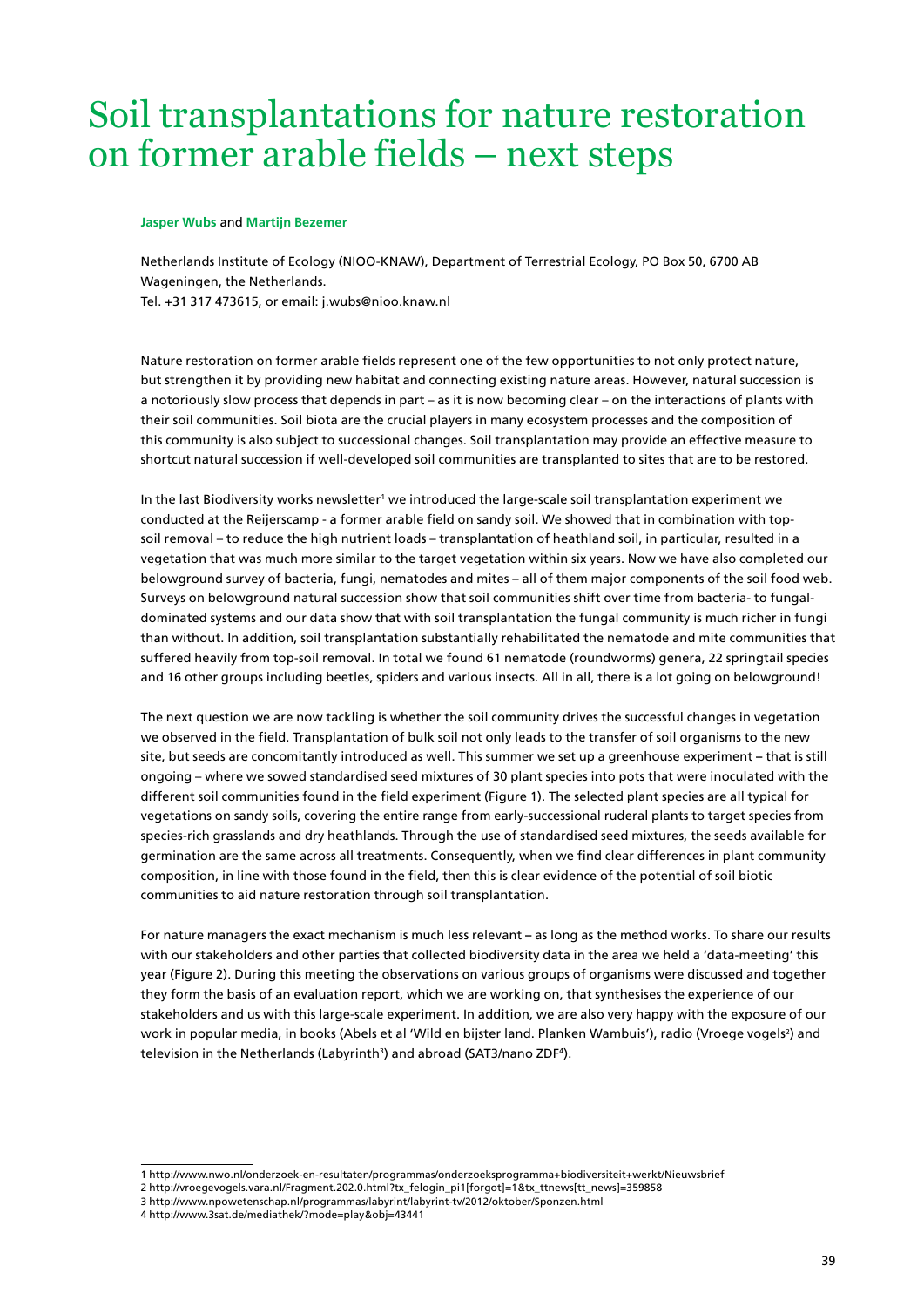## Soil transplantations for nature restoration on former arable fields – next steps

## **Jasper Wubs** and **Martijn Bezemer**

Netherlands Institute of Ecology (NIOO-KNAW), Department of Terrestrial Ecology, PO Box 50, 6700 AB Wageningen, the Netherlands. Tel. +31 317 473615, or email: [j.wubs@nioo.knaw.nl](mailto:j.wubs@nioo.knaw.nl)

Nature restoration on former arable fields represent one of the few opportunities to not only protect nature, but strengthen it by providing new habitat and connecting existing nature areas. However, natural succession is a notoriously slow process that depends in part – as it is now becoming clear – on the interactions of plants with their soil communities. Soil biota are the crucial players in many ecosystem processes and the composition of this community is also subject to successional changes. Soil transplantation may provide an effective measure to shortcut natural succession if well-developed soil communities are transplanted to sites that are to be restored.

In the last Biodiversity works newsletter<sup>1</sup> we introduced the large-scale soil transplantation experiment we conducted at the Reijerscamp - a former arable field on sandy soil. We showed that in combination with topsoil removal – to reduce the high nutrient loads – transplantation of heathland soil, in particular, resulted in a vegetation that was much more similar to the target vegetation within six years. Now we have also completed our belowground survey of bacteria, fungi, nematodes and mites – all of them major components of the soil food web. Surveys on belowground natural succession show that soil communities shift over time from bacteria- to fungaldominated systems and our data show that with soil transplantation the fungal community is much richer in fungi than without. In addition, soil transplantation substantially rehabilitated the nematode and mite communities that suffered heavily from top-soil removal. In total we found 61 nematode (roundworms) genera, 22 springtail species and 16 other groups including beetles, spiders and various insects. All in all, there is a lot going on belowground!

The next question we are now tackling is whether the soil community drives the successful changes in vegetation we observed in the field. Transplantation of bulk soil not only leads to the transfer of soil organisms to the new site, but seeds are concomitantly introduced as well. This summer we set up a greenhouse experiment **–** that is still ongoing – where we sowed standardised seed mixtures of 30 plant species into pots that were inoculated with the different soil communities found in the field experiment (Figure 1). The selected plant species are all typical for vegetations on sandy soils, covering the entire range from early-successional ruderal plants to target species from species-rich grasslands and dry heathlands. Through the use of standardised seed mixtures, the seeds available for germination are the same across all treatments. Consequently, when we find clear differences in plant community composition, in line with those found in the field, then this is clear evidence of the potential of soil biotic communities to aid nature restoration through soil transplantation.

For nature managers the exact mechanism is much less relevant **–** as long as the method works. To share our results with our stakeholders and other parties that collected biodiversity data in the area we held a 'data-meeting' this year (Figure 2). During this meeting the observations on various groups of organisms were discussed and together they form the basis of an evaluation report, which we are working on, that synthesises the experience of our stakeholders and us with this large-scale experiment. In addition, we are also very happy with the exposure of our work in popular media, in books (Abels et al 'Wild en bijster land. Planken Wambuis'), radio (Vroege vogels<sup>2</sup>) and television in the Netherlands (Labyrinth<sup>3</sup>) and abroad (SAT3/nano ZDF<sup>4</sup>).

<sup>1</sup> http://www.nwo.nl/onderzoek-en-resultaten/programmas/onderzoeksprogramma+biodiversiteit+werkt/Nieuwsbrief

<sup>2</sup> http://vroegevogels.vara.nl/Fragment.202.0.html?tx\_felogin\_pi1[forgot]=1&tx\_ttnews[tt\_news]=359858

<sup>3</sup> http://www.npowetenschap.nl/programmas/labyrint/labyrint-tv/2012/oktober/Sponzen.html

<sup>4</sup> http://www.3sat.de/mediathek/?mode=play&obj=43441